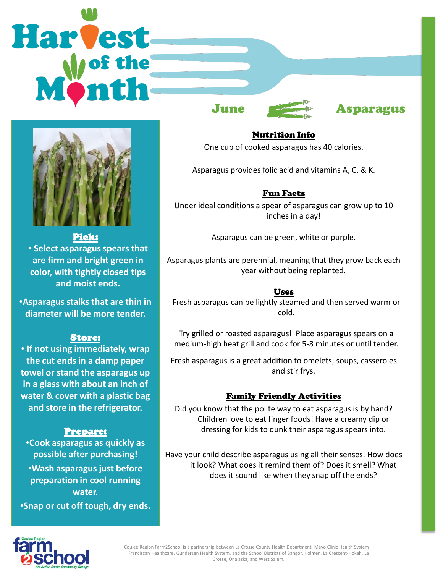# Harvest



#### Pick:

• **Select asparagus spears that are firm and bright green in color, with tightly closed tips and moist ends.**

•**Asparagus stalks that are thin in diameter will be more tender.**

## Store:

• **If not using immediately, wrap the cut ends in a damp paper towel or stand the asparagus up in a glass with about an inch of water & cover with a plastic bag and store in the refrigerator.**

## Prepare:

•**Cook asparagus as quickly as possible after purchasing!** •**Wash asparagus just before preparation in cool running water.**

•**Snap or cut off tough, dry ends.**



# June **Asparagus**

Nutrition Info One cup of cooked asparagus has 40 calories.

Asparagus provides folic acid and vitamins A, C, & K.

# Fun Facts

Under ideal conditions a spear of asparagus can grow up to 10 inches in a day!

Asparagus can be green, white or purple.

Asparagus plants are perennial, meaning that they grow back each year without being replanted.

## Uses

Fresh asparagus can be lightly steamed and then served warm or cold.

Try grilled or roasted asparagus! Place asparagus spears on a medium-high heat grill and cook for 5-8 minutes or until tender.

Fresh asparagus is a great addition to omelets, soups, casseroles and stir frys.

## Family Friendly Activities

Did you know that the polite way to eat asparagus is by hand? Children love to eat finger foods! Have a creamy dip or dressing for kids to dunk their asparagus spears into.

Have your child describe asparagus using all their senses. How does it look? What does it remind them of? Does it smell? What does it sound like when they snap off the ends?



Coulee Region Farm2School is a partnership between La Crosse County Health Department, Mayo Clinic Health System – Franciscan Healthcare, Gundersen Health System, and the School Districts of Bangor, Holmen, La Crescent-Hokah, La Crosse, Onalaska, and West Salem.